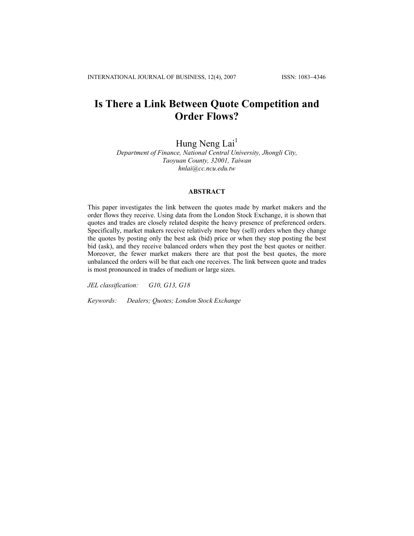# **Is There a Link Between Quote Competition and Order Flows?**

Hung Neng Lai<sup>1</sup>

*Department of Finance, National Central University, Jhongli City, Taoyuan County, 32001, Taiwan [hnlai@cc.ncu.edu.tw](mailto:hnlai@cc.ncu.edu.tw)*

# **ABSTRACT**

This paper investigates the link between the quotes made by market makers and the order flows they receive. Using data from the London Stock Exchange, it is shown that quotes and trades are closely related despite the heavy presence of preferenced orders. Specifically, market makers receive relatively more buy (sell) orders when they change the quotes by posting only the best ask (bid) price or when they stop posting the best bid (ask), and they receive balanced orders when they post the best quotes or neither. Moreover, the fewer market makers there are that post the best quotes, the more unbalanced the orders will be that each one receives. The link between quote and trades is most pronounced in trades of medium or large sizes.

*JEL classification: G10, G13, G18* 

*Keywords: Dealers; Quotes; London Stock Exchange*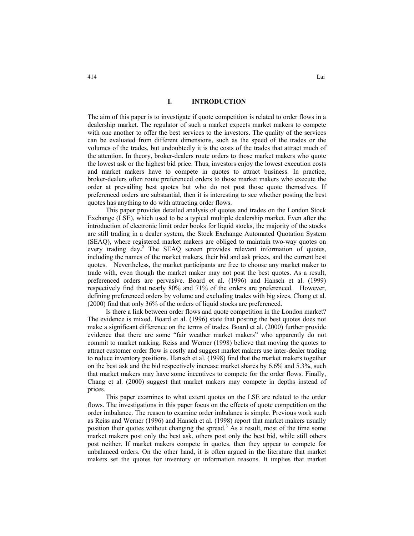## **I. INTRODUCTION**

The aim of this paper is to investigate if quote competition is related to order flows in a dealership market. The regulator of such a market expects market makers to compete with one another to offer the best services to the investors. The quality of the services can be evaluated from different dimensions, such as the speed of the trades or the volumes of the trades, but undoubtedly it is the costs of the trades that attract much of the attention. In theory, broker-dealers route orders to those market makers who quote the lowest ask or the highest bid price. Thus, investors enjoy the lowest execution costs and market makers have to compete in quotes to attract business. In practice, broker-dealers often route preferenced orders to those market makers who execute the order at prevailing best quotes but who do not post those quote themselves. If preferenced orders are substantial, then it is interesting to see whether posting the best quotes has anything to do with attracting order flows.

This paper provides detailed analysis of quotes and trades on the London Stock Exchange (LSE), which used to be a typical multiple dealership market. Even after the introduction of electronic limit order books for liquid stocks, the majority of the stocks are still trading in a dealer system, the Stock Exchange Automated Quotation System (SEAQ), where registered market makers are obliged to maintain two-way quotes on every trading day**. 2** The SEAQ screen provides relevant information of quotes, including the names of the market makers, their bid and ask prices, and the current best quotes. Nevertheless, the market participants are free to choose any market maker to trade with, even though the market maker may not post the best quotes. As a result, preferenced orders are pervasive. Board et al. (1996) and Hansch et al. (1999) respectively find that nearly 80% and 71% of the orders are preferenced. However, defining preferenced orders by volume and excluding trades with big sizes, Chang et al. (2000) find that only 36% of the orders of liquid stocks are preferenced.

Is there a link between order flows and quote competition in the London market? The evidence is mixed. Board et al. (1996) state that posting the best quotes does not make a significant difference on the terms of trades. Board et al. (2000) further provide evidence that there are some "fair weather market makers" who apparently do not commit to market making. Reiss and Werner (1998) believe that moving the quotes to attract customer order flow is costly and suggest market makers use inter-dealer trading to reduce inventory positions. Hansch et al. (1998) find that the market makers together on the best ask and the bid respectively increase market shares by 6.6% and 5.3%, such that market makers may have some incentives to compete for the order flows. Finally, Chang et al. (2000) suggest that market makers may compete in depths instead of prices.

This paper examines to what extent quotes on the LSE are related to the order flows. The investigations in this paper focus on the effects of quote competition on the order imbalance. The reason to examine order imbalance is simple. Previous work such as Reiss and Werner (1996) and Hansch et al. (1998) report that market makers usually position their quotes without changing the spread.<sup>3</sup> As a result, most of the time some market makers post only the best ask, others post only the best bid, while still others post neither. If market makers compete in quotes, then they appear to compete for unbalanced orders. On the other hand, it is often argued in the literature that market makers set the quotes for inventory or information reasons. It implies that market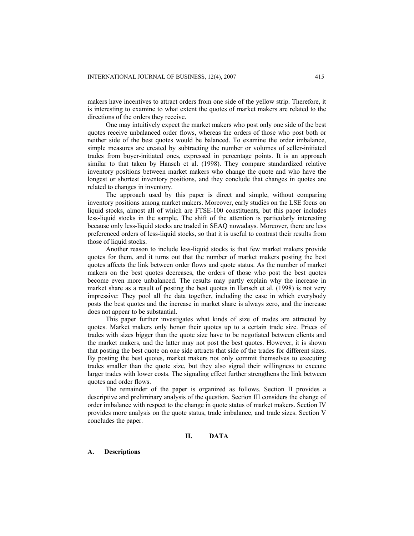makers have incentives to attract orders from one side of the yellow strip. Therefore, it is interesting to examine to what extent the quotes of market makers are related to the directions of the orders they receive.

One may intuitively expect the market makers who post only one side of the best quotes receive unbalanced order flows, whereas the orders of those who post both or neither side of the best quotes would be balanced. To examine the order imbalance, simple measures are created by subtracting the number or volumes of seller-initiated trades from buyer-initiated ones, expressed in percentage points. It is an approach similar to that taken by Hansch et al. (1998). They compare standardized relative inventory positions between market makers who change the quote and who have the longest or shortest inventory positions, and they conclude that changes in quotes are related to changes in inventory.

The approach used by this paper is direct and simple, without comparing inventory positions among market makers. Moreover, early studies on the LSE focus on liquid stocks, almost all of which are FTSE-100 constituents, but this paper includes less-liquid stocks in the sample. The shift of the attention is particularly interesting because only less-liquid stocks are traded in SEAQ nowadays. Moreover, there are less preferenced orders of less-liquid stocks, so that it is useful to contrast their results from those of liquid stocks.

Another reason to include less-liquid stocks is that few market makers provide quotes for them, and it turns out that the number of market makers posting the best quotes affects the link between order flows and quote status. As the number of market makers on the best quotes decreases, the orders of those who post the best quotes become even more unbalanced. The results may partly explain why the increase in market share as a result of posting the best quotes in Hansch et al. (1998) is not very impressive: They pool all the data together, including the case in which everybody posts the best quotes and the increase in market share is always zero, and the increase does not appear to be substantial.

This paper further investigates what kinds of size of trades are attracted by quotes. Market makers only honor their quotes up to a certain trade size. Prices of trades with sizes bigger than the quote size have to be negotiated between clients and the market makers, and the latter may not post the best quotes. However, it is shown that posting the best quote on one side attracts that side of the trades for different sizes. By posting the best quotes, market makers not only commit themselves to executing trades smaller than the quote size, but they also signal their willingness to execute larger trades with lower costs. The signaling effect further strengthens the link between quotes and order flows.

The remainder of the paper is organized as follows. Section II provides a descriptive and preliminary analysis of the question. Section III considers the change of order imbalance with respect to the change in quote status of market makers. Section IV provides more analysis on the quote status, trade imbalance, and trade sizes. Section V concludes the paper.

# **II. DATA**

#### **A. Descriptions**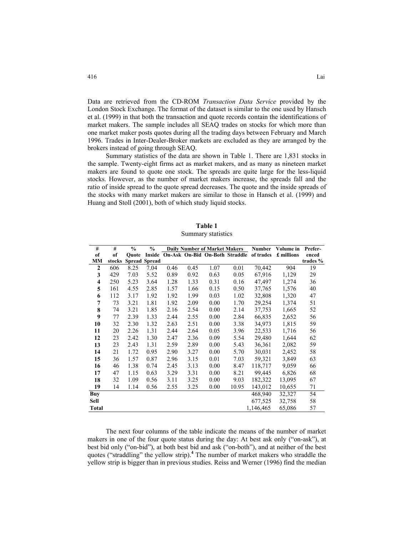Data are retrieved from the CD-ROM *Transaction Data Service* provided by the London Stock Exchange. The format of the dataset is similar to the one used by Hansch et al. (1999) in that both the transaction and quote records contain the identifications of market makers. The sample includes all SEAQ trades on stocks for which more than one market maker posts quotes during all the trading days between February and March 1996. Trades in Inter-Dealer-Broker markets are excluded as they are arranged by the brokers instead of going through SEAQ.

Summary statistics of the data are shown in Table 1. There are 1,831 stocks in the sample. Twenty-eight firms act as market makers, and as many as nineteen market makers are found to quote one stock. The spreads are quite large for the less-liquid stocks. However, as the number of market makers increase, the spreads fall and the ratio of inside spread to the quote spread decreases. The quote and the inside spreads of the stocks with many market makers are similar to those in Hansch et al. (1999) and Huang and Stoll (2001), both of which study liquid stocks.

| Table 1            |
|--------------------|
| Summary statistics |

| #                   | #      | $\%$  | $\frac{0}{0}$        |      |      | <b>Daily Number of Market Makers</b> |       | <b>Number</b> | Volume in  | Prefer-  |
|---------------------|--------|-------|----------------------|------|------|--------------------------------------|-------|---------------|------------|----------|
| of                  | of     | Ouote | Inside               |      |      | On-Ask On-Bid On-Both Straddle       |       | of trades     | £ millions | enced    |
| MM                  | stocks |       | <b>Spread Spread</b> |      |      |                                      |       |               |            | trades % |
| $\mathbf{2}$        | 606    | 8.25  | 7.04                 | 0.46 | 0.45 | 1.07                                 | 0.01  | 70,442        | 904        | 19       |
| 3                   | 429    | 7.03  | 5.52                 | 0.89 | 0.92 | 0.63                                 | 0.05  | 67,916        | 1,129      | 29       |
| $\overline{\bf{4}}$ | 250    | 5.23  | 3.64                 | 1.28 | 1.33 | 0.31                                 | 0.16  | 47,497        | 1,274      | 36       |
| 5                   | 161    | 4.55  | 2.85                 | 1.57 | 1.66 | 0.15                                 | 0.50  | 37,765        | 1,576      | 40       |
| 6                   | 112    | 3.17  | 1.92                 | 1.92 | 1.99 | 0.03                                 | 1.02  | 32,808        | 1,320      | 47       |
| 7                   | 73     | 3.21  | 1.81                 | 1.92 | 2.09 | 0.00                                 | 1.70  | 29,254        | 1,374      | 51       |
| 8                   | 74     | 3.21  | 1.85                 | 2.16 | 2.54 | 0.00                                 | 2.14  | 37,753        | 1,665      | 52       |
| 9                   | 77     | 2.39  | 1.33                 | 2.44 | 2.55 | 0.00                                 | 2.84  | 66,835        | 2,652      | 56       |
| 10                  | 32     | 2.30  | 1.32                 | 2.63 | 2.51 | 0.00                                 | 3.38  | 34,973        | 1,815      | 59       |
| 11                  | 20     | 2.26  | 1.31                 | 2.44 | 2.64 | 0.05                                 | 3.96  | 22,533        | 1,716      | 56       |
| 12                  | 23     | 2.42  | 1.30                 | 2.47 | 2.36 | 0.09                                 | 5.54  | 29,480        | 1,644      | 62       |
| 13                  | 23     | 2.43  | 1.31                 | 2.59 | 2.89 | 0.00                                 | 5.43  | 36,361        | 2,082      | 59       |
| 14                  | 21     | 1.72  | 0.95                 | 2.90 | 3.27 | 0.00                                 | 5.70  | 30,031        | 2,452      | 58       |
| 15                  | 36     | 1.57  | 0.87                 | 2.96 | 3.15 | 0.01                                 | 7.03  | 59,321        | 3,849      | 63       |
| 16                  | 46     | 1.38  | 0.74                 | 2.45 | 3.13 | 0.00                                 | 8.47  | 118,717       | 9,059      | 66       |
| 17                  | 47     | 1.15  | 0.63                 | 3.29 | 3.31 | 0.00                                 | 8.21  | 99,445        | 6,826      | 68       |
| 18                  | 32     | 1.09  | 0.56                 | 3.11 | 3.25 | 0.00                                 | 9.03  | 182,322       | 13,095     | 67       |
| 19                  | 14     | 1.14  | 0.56                 | 2.55 | 3.25 | 0.00                                 | 10.95 | 143,012       | 10,655     | 71       |
| <b>Buy</b>          |        |       |                      |      |      |                                      |       | 468,940       | 32,327     | 54       |
| Sell                |        |       |                      |      |      |                                      |       | 677,525       | 32,758     | 58       |
| <b>Total</b>        |        |       |                      |      |      |                                      |       | 1,146,465     | 65,086     | 57       |

The next four columns of the table indicate the means of the number of market makers in one of the four quote status during the day: At best ask only ("on-ask"), at best bid only ("on-bid"), at both best bid and ask ("on-both"), and at neither of the best quotes ("straddling" the yellow strip).**<sup>4</sup>** The number of market makers who straddle the yellow strip is bigger than in previous studies. Reiss and Werner (1996) find the median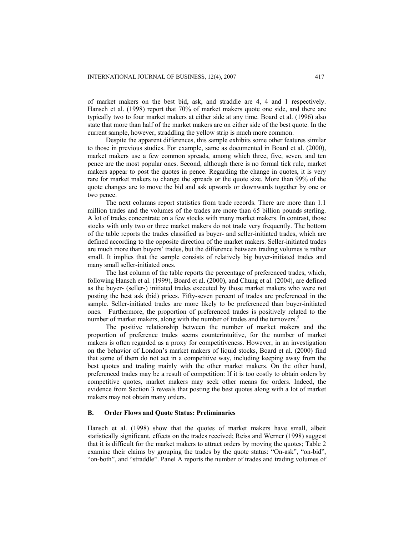of market makers on the best bid, ask, and straddle are 4, 4 and 1 respectively. Hansch et al. (1998) report that 70% of market makers quote one side, and there are typically two to four market makers at either side at any time. Board et al. (1996) also state that more than half of the market makers are on either side of the best quote. In the current sample, however, straddling the yellow strip is much more common.

Despite the apparent differences, this sample exhibits some other features similar to those in previous studies. For example, same as documented in Board et al. (2000), market makers use a few common spreads, among which three, five, seven, and ten pence are the most popular ones. Second, although there is no formal tick rule, market makers appear to post the quotes in pence. Regarding the change in quotes, it is very rare for market makers to change the spreads or the quote size. More than 99% of the quote changes are to move the bid and ask upwards or downwards together by one or two pence.

The next columns report statistics from trade records. There are more than 1.1 million trades and the volumes of the trades are more than 65 billion pounds sterling. A lot of trades concentrate on a few stocks with many market makers. In contrast, those stocks with only two or three market makers do not trade very frequently. The bottom of the table reports the trades classified as buyer- and seller-initiated trades, which are defined according to the opposite direction of the market makers. Seller-initiated trades are much more than buyers' trades, but the difference between trading volumes is rather small. It implies that the sample consists of relatively big buyer-initiated trades and many small seller-initiated ones.

The last column of the table reports the percentage of preferenced trades, which, following Hansch et al. (1999), Board et al. (2000), and Chung et al. (2004), are defined as the buyer- (seller-) initiated trades executed by those market makers who were not posting the best ask (bid) prices. Fifty-seven percent of trades are preferenced in the sample. Seller-initiated trades are more likely to be preferenced than buyer-initiated ones. Furthermore, the proportion of preferenced trades is positively related to the number of market makers, along with the number of trades and the turnovers.<sup>5</sup>

The positive relationship between the number of market makers and the proportion of preference trades seems counterintuitive, for the number of market makers is often regarded as a proxy for competitiveness. However, in an investigation on the behavior of London's market makers of liquid stocks, Board et al. (2000) find that some of them do not act in a competitive way, including keeping away from the best quotes and trading mainly with the other market makers. On the other hand, preferenced trades may be a result of competition: If it is too costly to obtain orders by competitive quotes, market makers may seek other means for orders. Indeed, the evidence from Section 3 reveals that posting the best quotes along with a lot of market makers may not obtain many orders.

# **B. Order Flows and Quote Status: Preliminaries**

Hansch et al. (1998) show that the quotes of market makers have small, albeit statistically significant, effects on the trades received; Reiss and Werner (1998) suggest that it is difficult for the market makers to attract orders by moving the quotes; Table 2 examine their claims by grouping the trades by the quote status: "On-ask", "on-bid", "on-both", and "straddle". Panel A reports the number of trades and trading volumes of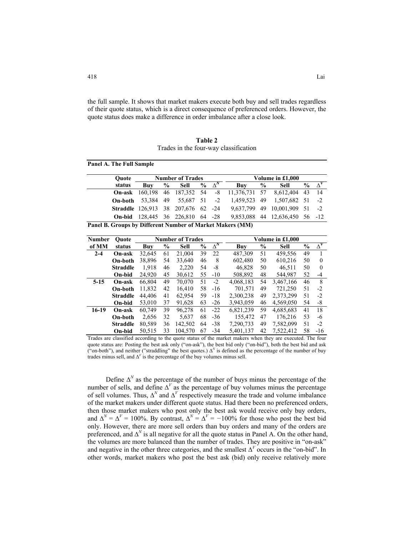the full sample. It shows that market makers execute both buy and sell trades regardless of their quote status, which is a direct consequence of preferenced orders. However, the quote status does make a difference in order imbalance after a close look.

**Table 2**  Trades in the four-way classification

| <b>Ouote</b>                                               |                                         |      | <b>Number of Trades</b> |                 | Volume in £1,000                                                        |      |                                |               |             |
|------------------------------------------------------------|-----------------------------------------|------|-------------------------|-----------------|-------------------------------------------------------------------------|------|--------------------------------|---------------|-------------|
| status                                                     | Buv                                     | $\%$ | Sell                    | $\%$ $\Delta^N$ | Buv                                                                     | $\%$ | Sell                           | $\frac{0}{0}$ | $\Lambda^V$ |
| On-ask                                                     |                                         |      |                         |                 | 160,198 46 187,352 54 -8 11,376,731 57 8,612,404 43                     |      |                                |               | - 14        |
|                                                            | <b>On-both</b> 53,384 49 55,687 51 -2   |      |                         |                 |                                                                         |      | 1,459,523 49 1,507,682 51 -2   |               |             |
|                                                            |                                         |      |                         |                 | <b>Straddle</b> 126,913 38 207,676 62 -24 9,637,799 49 10,001,909 51 -2 |      |                                |               |             |
|                                                            | <b>On-bid</b> 128,445 36 226,810 64 -28 |      |                         |                 |                                                                         |      | 9,853,088 44 12,636,450 56 -12 |               |             |
| Danal D. Cuarna by Different Number of Market Malzona (MM) |                                         |      |                         |                 |                                                                         |      |                                |               |             |

**Panel B. Groups by Different Number of Market Makers (MM)** 

| <b>Number</b> | Ouote           | <b>Number of Trades</b> |               |         |               |            | Volume in £1.000 |                                  |           |               |            |  |
|---------------|-----------------|-------------------------|---------------|---------|---------------|------------|------------------|----------------------------------|-----------|---------------|------------|--|
| of MM         | status          | Buy                     | $\frac{6}{9}$ | Sell    | $\frac{6}{9}$ | $\Delta^N$ | Buy              | $\boldsymbol{\mathsf{0}/_{\!0}}$ | Sell      | $\frac{6}{9}$ | $\Delta^V$ |  |
| $2 - 4$       | On-ask          | 32,645                  | 61            | 21,004  | 39            | 22         | 487,309          | 51                               | 459,556   | 49            |            |  |
|               | On-both         | 38,896                  | 54            | 33.640  | 46            | 8          | 602.480          | 50                               | 610,216   | 50            | $\theta$   |  |
|               | <b>Straddle</b> | 1,918                   | 46            | 2,220   | 54            | -8         | 46.828           | 50                               | 46.511    | 50            | $\theta$   |  |
|               | On-bid          | 24.920                  | 45            | 30,612  | 55            | $-10$      | 508.892          | 48                               | 544.987   | 52            | $-4$       |  |
| $5-15$        | On-ask          | 66.804                  | 49            | 70,070  | 51            | $-2$       | 4,068,183        | 54                               | 3,467,166 | 46            | 8          |  |
|               | On-both         | 11,832                  | 42            | 16.410  | 58            | $-16$      | 701.571          | 49                               | 721.250   | 51            | $-2$       |  |
|               | <b>Straddle</b> | 44.406                  | 41            | 62,954  | 59            | $-18$      | 2,300,238        | 49                               | 2,373,299 | 51            | $-2$       |  |
|               | On-bid          | 53.010                  | 37            | 91,628  | 63            | $-26$      | 3.943.059        | 46                               | 4.569.050 | 54            | -8         |  |
| $16-19$       | On-ask          | 60,749                  | 39            | 96,278  | 61            | $-22$      | 6,821,239        | 59                               | 4,685,683 | 41            | 18         |  |
|               | On-both         | 2.656                   | 32            | 5.637   | 68            | $-36$      | 155.472          | 47                               | 176,216   | 53            | -6         |  |
|               | <b>Straddle</b> | 80,589                  | 36            | 142,502 | 64            | $-38$      | 7,290,733        | 49                               | 7.582.099 | 51            | $-2$       |  |
|               | On-bid          | 50.515                  | 33            | 104.570 | 67            | $-34$      | 5.401.137        | 42                               | 7,522,412 | 58            | $-16$      |  |

Trades are classified according to the quote status of the market makers when they are executed. The four quote status are: Posting the best ask only ("on-ask"), the best bid only ("on-bid"), both the best bid and ask ("on-both"), and neither ("straddling" the best quotes.)  $\Delta^N$  is defined as the percentage of the number of buy trades minus sell, and  $\Delta^V$  is the percentage of the buy volumes minus sell.

Define  $\Delta^N$  as the percentage of the number of buys minus the percentage of the number of sells, and define  $\Delta^V$  as the percentage of buy volumes minus the percentage of sell volumes. Thus,  $\Delta^N$  and  $\Delta^V$  respectively measure the trade and volume imbalance of the market makers under different quote status. Had there been no preferenced orders, then those market makers who post only the best ask would receive only buy orders, and  $\Delta^N = \Delta^V = 100\%$ . By contrast,  $\Delta^N = \Delta^V = -100\%$  for those who post the best bid only. However, there are more sell orders than buy orders and many of the orders are preferenced, and  $\Delta^N$  is all negative for all the quote status in Panel A. On the other hand, the volumes are more balanced than the number of trades. They are positive in "on-ask" and negative in the other three categories, and the smallest ∆*<sup>V</sup>* occurs in the "on-bid". In other words, market makers who post the best ask (bid) only receive relatively more

**Panel A. The Full Sample**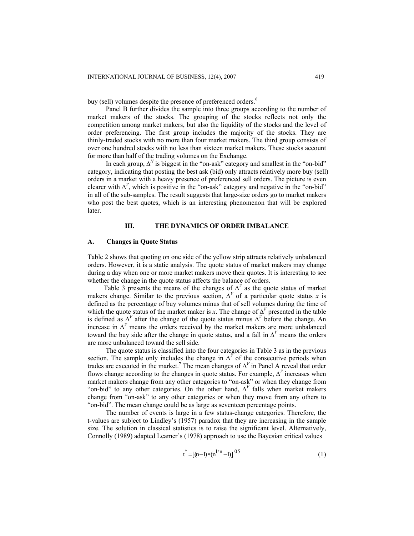buy (sell) volumes despite the presence of preferenced orders.<sup>6</sup>

Panel B further divides the sample into three groups according to the number of market makers of the stocks. The grouping of the stocks reflects not only the competition among market makers, but also the liquidity of the stocks and the level of order preferencing. The first group includes the majority of the stocks. They are thinly-traded stocks with no more than four market makers. The third group consists of over one hundred stocks with no less than sixteen market makers. These stocks account for more than half of the trading volumes on the Exchange.

In each group,  $\Delta^N$  is biggest in the "on-ask" category and smallest in the "on-bid" category, indicating that posting the best ask (bid) only attracts relatively more buy (sell) orders in a market with a heavy presence of preferenced sell orders. The picture is even clearer with  $\Delta^V$ , which is positive in the "on-ask" category and negative in the "on-bid" in all of the sub-samples. The result suggests that large-size orders go to market makers who post the best quotes, which is an interesting phenomenon that will be explored later.

### **III. THE DYNAMICS OF ORDER IMBALANCE**

#### **A. Changes in Quote Status**

Table 2 shows that quoting on one side of the yellow strip attracts relatively unbalanced orders. However, it is a static analysis. The quote status of market makers may change during a day when one or more market makers move their quotes. It is interesting to see whether the change in the quote status affects the balance of orders.

Table 3 presents the means of the changes of  $\Delta^V$  as the quote status of market makers change. Similar to the previous section,  $\Delta^V$  of a particular quote status *x* is defined as the percentage of buy volumes minus that of sell volumes during the time of which the quote status of the market maker is *x*. The change of  $\Delta^V$  presented in the table is defined as  $\Delta^V$  after the change of the quote status minus  $\Delta^V$  before the change. An increase in  $\Delta^V$  means the orders received by the market makers are more unbalanced toward the buy side after the change in quote status, and a fall in  $\Delta^V$  means the orders are more unbalanced toward the sell side.

The quote status is classified into the four categories in Table 3 as in the previous section. The sample only includes the change in  $\Delta^V$  of the consecutive periods when trades are executed in the market.<sup>7</sup> The mean changes of  $\Delta^{V}$  in Panel A reveal that order flows change according to the changes in quote status. For example,  $\Delta^V$  increases when market makers change from any other categories to "on-ask" or when they change from "on-bid" to any other categories. On the other hand, ∆*<sup>V</sup>* falls when market makers change from "on-ask" to any other categories or when they move from any others to "on-bid". The mean change could be as large as seventeen percentage points.

The number of events is large in a few status-change categories. Therefore, the t-values are subject to Lindley's (1957) paradox that they are increasing in the sample size. The solution in classical statistics is to raise the significant level. Alternatively, Connolly (1989) adapted Leamer's (1978) approach to use the Bayesian critical values

$$
t^* = [(n-1)*(n^{1/n}-1)]^{0.5}
$$
 (1)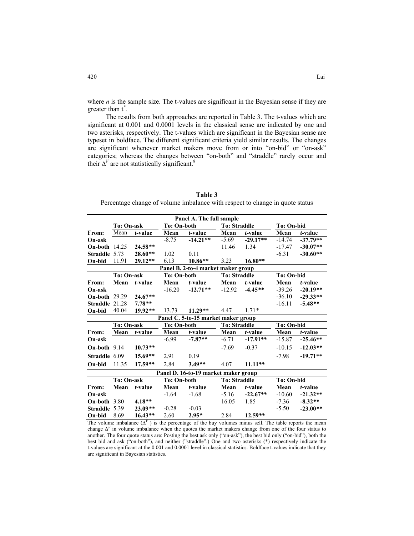where  $n$  is the sample size. The t-values are significant in the Bayesian sense if they are greater than t*\** .

The results from both approaches are reported in Table 3. The t-values which are significant at 0.001 and 0.0001 levels in the classical sense are indicated by one and two asterisks, respectively. The t-values which are significant in the Bayesian sense are typeset in boldface. The different significant criteria yield similar results. The changes are significant whenever market makers move from or into "on-bid" or "on-ask" categories; whereas the changes between "on-both" and "straddle" rarely occur and their  $\Delta^V$  are not statistically significant.<sup>8</sup>

| Table 3                                                                      |
|------------------------------------------------------------------------------|
| Percentage change of volume imbalance with respect to change in quote status |

| Panel A. The full sample            |            |           |                    |                                      |                     |            |                   |            |  |  |  |  |  |
|-------------------------------------|------------|-----------|--------------------|--------------------------------------|---------------------|------------|-------------------|------------|--|--|--|--|--|
|                                     | To: On-ask |           | To: On-both        |                                      | <b>To: Straddle</b> |            | To: On-bid        |            |  |  |  |  |  |
| From:                               | Mean       | t-value   | Mean               | t-value                              | Mean                | t-value    | Mean              | t-value    |  |  |  |  |  |
| On-ask                              |            |           | $-8.75$            | $-14.21**$                           | $-5.69$             | $-29.17**$ | $-14.74$          | $-37.79**$ |  |  |  |  |  |
| <b>On-both</b> 14.25                |            | 24.58**   |                    |                                      | 11.46               | 1.34       | $-17.47$          | $-30.07**$ |  |  |  |  |  |
| Straddle 5.73                       |            | 28.60**   | 1.02               | 0.11                                 |                     |            | $-6.31$           | $-30.60**$ |  |  |  |  |  |
| On-bid                              | 11.91      | 29.12**   | 6.13               | $10.86**$                            | 3.23                | $16.80**$  |                   |            |  |  |  |  |  |
| Panel B. 2-to-4 market maker group  |            |           |                    |                                      |                     |            |                   |            |  |  |  |  |  |
|                                     | To: On-ask |           | <b>To: On-both</b> |                                      | <b>To: Straddle</b> |            | <b>To: On-bid</b> |            |  |  |  |  |  |
| From:                               | Mean       | t-value   | Mean               | $t$ -value                           | Mean                | t-value    | Mean              | t-value    |  |  |  |  |  |
| On-ask                              |            |           | $-16.20$           | $-12.71**$                           | $-12.92$            | $-4.45**$  | $-39.26$          | $-20.19**$ |  |  |  |  |  |
| <b>On-both 29.29</b>                |            | 24.67**   |                    |                                      |                     |            | $-36.10$          | $-29.33**$ |  |  |  |  |  |
| Straddle 21.28                      |            | $7.78**$  |                    |                                      |                     |            | $-16.11$          | $-5.48**$  |  |  |  |  |  |
| On-bid                              | 40.04      | 19.92**   | 13.73              | $11.29**$                            | 4.47                | $1.71*$    |                   |            |  |  |  |  |  |
| Panel C. 5-to-15 market maker group |            |           |                    |                                      |                     |            |                   |            |  |  |  |  |  |
|                                     | To: On-ask |           | <b>To: On-both</b> |                                      | <b>To: Straddle</b> |            | To: On-bid        |            |  |  |  |  |  |
| From:                               | Mean       | t-value   | Mean               | t-value                              | Mean                | t-value    | Mean              | t-value    |  |  |  |  |  |
| On-ask                              |            |           | $-6.99$            | $-7.87**$                            | $-6.71$             | $-17.91**$ | $-15.87$          | $-25.46**$ |  |  |  |  |  |
| <b>On-both</b> $9.14$               |            | $10.73**$ |                    |                                      | $-7.69$             | $-0.37$    | $-10.15$          | $-12.03**$ |  |  |  |  |  |
| Straddle 6.09                       |            | $15.69**$ | 2.91               | 0.19                                 |                     |            | $-7.98$           | $-19.71**$ |  |  |  |  |  |
| On-bid                              | 11.35      | $17.59**$ | 2.84               | $3.49**$                             | 4.07                | $11.11**$  |                   |            |  |  |  |  |  |
|                                     |            |           |                    | Panel D. 16-to-19 market maker group |                     |            |                   |            |  |  |  |  |  |
|                                     | To: On-ask |           | <b>To: On-both</b> |                                      | <b>To: Straddle</b> |            | <b>To: On-bid</b> |            |  |  |  |  |  |
| From:                               | Mean       | t-value   | Mean               | t-value                              | Mean                | t-value    | Mean              | t-value    |  |  |  |  |  |
| On-ask                              |            |           | $-1.64$            | $-1.68$                              | $-5.16$             | $-22.67**$ | $-10.60$          | $-21.32**$ |  |  |  |  |  |
| On-both 3.80                        |            | $4.18**$  |                    |                                      | 16.05               | 1.85       | $-7.36$           | $-8.32**$  |  |  |  |  |  |
| Straddle 5.39                       |            | 23.09**   | $-0.28$            | $-0.03$                              |                     |            | $-5.50$           | $-23.00**$ |  |  |  |  |  |
| On-bid                              | 8.69       | $16.43**$ | 2.60               | $2.95*$                              | 2.84                | $12.59**$  |                   |            |  |  |  |  |  |

The volume imbalance  $(\Delta^V)$  is the percentage of the buy volumes minus sell. The table reports the mean change ∆*<sup>V</sup>* in volume imbalance when the quotes the market makers change from one of the four status to another. The four quote status are: Posting the best ask only ("on-ask"), the best bid only ("on-bid"), both the best bid and ask ("on-both"), and neither ("straddle".) One and two asterisks (\*) respectively indicate the t-values are significant at the 0.001 and 0.0001 level in classical statistics. Boldface t-values indicate that they are significant in Bayesian statistics.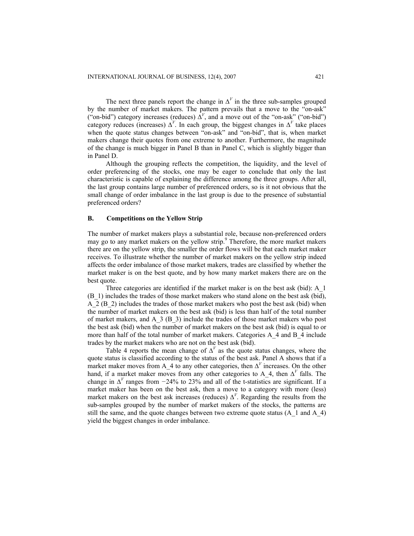The next three panels report the change in  $\Delta^V$  in the three sub-samples grouped by the number of market makers. The pattern prevails that a move to the "on-ask" ("on-bid") category increases (reduces)  $\Delta^V$ , and a move out of the "on-ask" ("on-bid") category reduces (increases)  $\Delta^V$ . In each group, the biggest changes in  $\Delta^V$  take places when the quote status changes between "on-ask" and "on-bid", that is, when market makers change their quotes from one extreme to another. Furthermore, the magnitude of the change is much bigger in Panel B than in Panel C, which is slightly bigger than in Panel D.

Although the grouping reflects the competition, the liquidity, and the level of order preferencing of the stocks, one may be eager to conclude that only the last characteristic is capable of explaining the difference among the three groups. After all, the last group contains large number of preferenced orders, so is it not obvious that the small change of order imbalance in the last group is due to the presence of substantial preferenced orders?

#### **B. Competitions on the Yellow Strip**

The number of market makers plays a substantial role, because non-preferenced orders may go to any market makers on the yellow strip.<sup>9</sup> Therefore, the more market makers there are on the yellow strip, the smaller the order flows will be that each market maker receives. To illustrate whether the number of market makers on the yellow strip indeed affects the order imbalance of those market makers, trades are classified by whether the market maker is on the best quote, and by how many market makers there are on the best quote.

Three categories are identified if the market maker is on the best ask (bid): A\_1 (B\_1) includes the trades of those market makers who stand alone on the best ask (bid), A 2 (B 2) includes the trades of those market makers who post the best ask (bid) when the number of market makers on the best ask (bid) is less than half of the total number of market makers, and A\_3 (B\_3) include the trades of those market makers who post the best ask (bid) when the number of market makers on the best ask (bid) is equal to or more than half of the total number of market makers. Categories A\_4 and B\_4 include trades by the market makers who are not on the best ask (bid).

Table 4 reports the mean change of  $\Delta^V$  as the quote status changes, where the quote status is classified according to the status of the best ask. Panel A shows that if a market maker moves from A\_4 to any other categories, then ∆*<sup>V</sup>* increases. On the other hand, if a market maker moves from any other categories to A 4, then  $\Delta^V$  falls. The change in ∆*<sup>V</sup>* ranges from *−*24% to 23% and all of the t-statistics are significant. If a market maker has been on the best ask, then a move to a category with more (less) market makers on the best ask increases (reduces)  $\Delta^V$ . Regarding the results from the sub-samples grouped by the number of market makers of the stocks, the patterns are still the same, and the quote changes between two extreme quote status (A\_1 and A\_4) yield the biggest changes in order imbalance.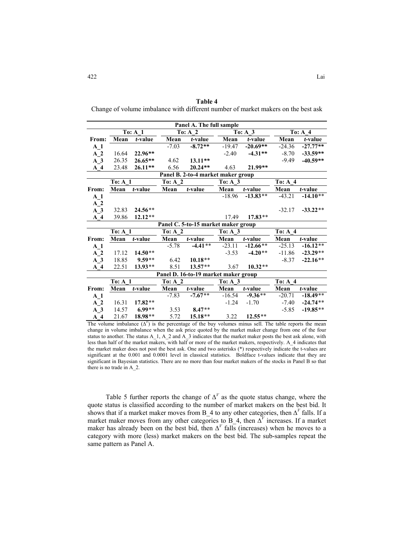**Table 4**  Change of volume imbalance with different number of market makers on the best ask

| Panel A. The full sample           |                    |                    |                    |                                      |                    |            |                    |            |  |  |  |  |
|------------------------------------|--------------------|--------------------|--------------------|--------------------------------------|--------------------|------------|--------------------|------------|--|--|--|--|
|                                    |                    | To: A <sub>1</sub> |                    | To: A <sub>2</sub>                   |                    | To: $A_3$  |                    | To: $A$ 4  |  |  |  |  |
| From:                              | Mean               | t-value            | Mean               | t-value                              | Mean               | t-value    | Mean               | $t$ -value |  |  |  |  |
| A <sub>1</sub>                     |                    |                    | $-7.03$            | $-8.72**$                            | $-19.47$           | $-20.69**$ | $-24.36$           | $-27.77**$ |  |  |  |  |
| A <sub>2</sub>                     | 16.64              | 22.96**            |                    |                                      | $-2.40$            | $-4.31**$  | $-8.70$            | $-33.59**$ |  |  |  |  |
| $A_3$                              | 26.35              | $26.65**$          | 4.62               | $13.11**$                            |                    |            | $-9.49$            | $-40.59**$ |  |  |  |  |
| $A_4$                              | 23.48              | $26.11**$          | 6.56               | $20.24**$                            | 4.63               | 21.99**    |                    |            |  |  |  |  |
| Panel B. 2-to-4 market maker group |                    |                    |                    |                                      |                    |            |                    |            |  |  |  |  |
|                                    | <b>To: A 1</b>     |                    | <b>To: A 2</b>     |                                      | To: $A_3$          |            | To: A <sub>4</sub> |            |  |  |  |  |
| From:                              | Mean               | t-value            | Mean               | t-value                              | Mean               | t-value    | Mean               | t-value    |  |  |  |  |
| A <sub>1</sub>                     |                    |                    |                    |                                      | $-18.96$           | $-13.83**$ | $-43.21$           | $-14.10**$ |  |  |  |  |
| A <sub>2</sub>                     |                    |                    |                    |                                      |                    |            |                    |            |  |  |  |  |
| $\overline{A}$ 3                   | 32.83              | $24.56**$          |                    |                                      |                    |            | $-32.17$           | $-33.22**$ |  |  |  |  |
| $A$ 4                              | 39.86              | $12.12**$          |                    |                                      | 17.49              | $17.83**$  |                    |            |  |  |  |  |
|                                    |                    |                    |                    | Panel C. 5-to-15 market maker group  |                    |            |                    |            |  |  |  |  |
|                                    | To: A <sub>1</sub> |                    | To: A <sub>2</sub> |                                      | To: A <sub>3</sub> |            | To: A <sub>4</sub> |            |  |  |  |  |
| From:                              | Mean               | t-value            | Mean               | t-value                              | Mean               | t-value    | Mean               | t-value    |  |  |  |  |
| $A_1$                              |                    |                    | $-5.78$            | $-4.41**$                            | $-23.11$           | $-12.66**$ | $-25.13$           | $-16.12**$ |  |  |  |  |
| A <sub>2</sub>                     | 17.12              | $14.50**$          |                    |                                      | $-3.53$            | $-4.20**$  | $-11.86$           | $-23.29**$ |  |  |  |  |
| $A_3$                              | 18.85              | $9.59**$           | 6.42               | $10.18**$                            |                    |            | $-8.37$            | $-22.16**$ |  |  |  |  |
| $A$ 4                              | 22.51              | 13.93**            | 8.51               | $13.57**$                            | 3.67               | $10.32**$  |                    |            |  |  |  |  |
|                                    |                    |                    |                    | Panel D. 16-to-19 market maker group |                    |            |                    |            |  |  |  |  |
|                                    | To: A <sub>1</sub> |                    | To: A <sub>2</sub> |                                      | To: A <sub>3</sub> |            | To: A <sub>4</sub> |            |  |  |  |  |
| From:                              | Mean               | t-value            | Mean               | $t$ -value                           | Mean               | t-value    | Mean               | t-value    |  |  |  |  |
| A <sub>1</sub>                     |                    |                    | $-7.83$            | $-7.67**$                            | $-16.54$           | $-9.36**$  | $-20.71$           | $-18.49**$ |  |  |  |  |
| A <sub>2</sub>                     | 16.31              | $17.82**$          |                    |                                      | $-1.24$            | $-1.70$    | $-7.40$            | $-24.74**$ |  |  |  |  |
| A <sub>3</sub>                     | 14.57              | $6.99**$           | 3.53               | $8.47**$                             |                    |            | $-5.85$            | $-19.85**$ |  |  |  |  |
| $A_4$                              | 21.67              | 18.98**            | 5.72               | 15.18**                              | 3.22               | $12.55**$  |                    |            |  |  |  |  |

The volume imbalance  $(\Delta^V)$  is the percentage of the buy volumes minus sell. The table reports the mean change in volume imbalance when the ask price quoted by the market maker change from one of the four status to another. The status A\_1, A\_2 and A\_3 indicates that the market maker posts the best ask alone, with less than half of the market makers, with half or more of the market makers, respectively. A\_4 indicates that the market maker does not post the best ask. One and two asterisks (\*) respectively indicate the t-values are significant at the 0.001 and 0.0001 level in classical statistics. Boldface t-values indicate that they are significant in Bayesian statistics. There are no more than four market makers of the stocks in Panel B so that there is no trade in A\_2.

Table 5 further reports the change of  $\Delta^V$  as the quote status change, where the quote status is classified according to the number of market makers on the best bid. It shows that if a market maker moves from B\_4 to any other categories, then ∆*<sup>V</sup>* falls. If a market maker moves from any other categories to B\_4, then ∆*<sup>V</sup>* increases. If a market maker has already been on the best bid, then  $\Delta^V$  falls (increases) when he moves to a category with more (less) market makers on the best bid. The sub-samples repeat the same pattern as Panel A.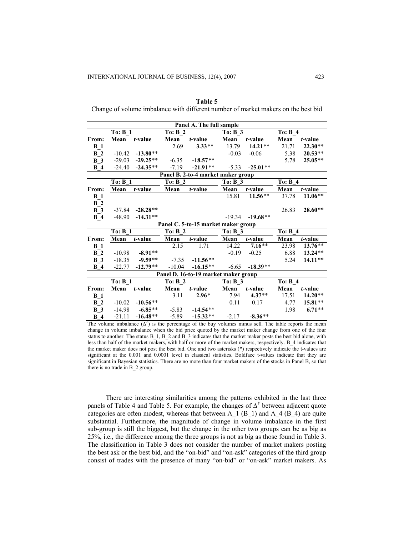|                  | To: B <sub>1</sub> |            | To: B <sub>2</sub> |                                      | Panel A. The full sample<br>To: B <sub>3</sub> |            |                            |           |  |
|------------------|--------------------|------------|--------------------|--------------------------------------|------------------------------------------------|------------|----------------------------|-----------|--|
| From:            | Mean               | t-value    | Mean               | $t$ -value                           | Mean                                           | t-value    | To: B <sub>4</sub><br>Mean | t-value   |  |
| $B_1$            |                    |            | 2.69               | $3.33**$                             | 13.79                                          | $14.21**$  | 21.71                      | $22.30**$ |  |
| B <sub>2</sub>   | $-10.42$           | $-13.80**$ |                    |                                      | $-0.03$                                        | $-0.06$    | 5.38                       | $20.53**$ |  |
| <b>B</b> 3       | $-29.03$           | $-29.25**$ | $-6.35$            | $-18.57**$                           |                                                |            | 5.78                       | $25.05**$ |  |
| B <sub>4</sub>   | $-24.40$           | $-24.35**$ | $-7.19$            | $-21.91**$                           | $-5.33$                                        | $-25.01**$ |                            |           |  |
|                  |                    |            |                    | Panel B. 2-to-4 market maker group   |                                                |            |                            |           |  |
|                  | To: B <sub>1</sub> |            | <b>To: B 2</b>     |                                      | <b>To: B 3</b>                                 |            | To: B 4                    |           |  |
| From:            | Mean               | t-value    | Mean               | t-value                              | Mean                                           | t-value    | Mean                       | t-value   |  |
| $B_1$            |                    |            |                    |                                      | 15.81                                          | $11.56**$  | 37.78                      | $11.06**$ |  |
| B <sub>2</sub>   |                    |            |                    |                                      |                                                |            |                            |           |  |
| $B_3$            | $-37.84$           | $-28.28**$ |                    |                                      |                                                |            | 26.83                      | $28.60**$ |  |
| <b>B</b> 4       | $-48.90$           | $-14.31**$ |                    |                                      | $-19.34$                                       | $-19.68**$ |                            |           |  |
|                  |                    |            |                    | Panel C. 5-to-15 market maker group  |                                                |            |                            |           |  |
|                  | To: B <sub>1</sub> |            | To: B <sub>2</sub> |                                      | To: B <sub>3</sub>                             |            | To: B <sub>4</sub>         |           |  |
| From:            | Mean               | t-value    | Mean               | t-value                              | Mean                                           | t-value    | Mean                       | t-value   |  |
| $B_1$            |                    |            | 2.15               | 1.71                                 | 14.22                                          | $7.16**$   | 23.98                      | $13.76**$ |  |
| B <sub>2</sub>   | $-10.98$           | $-8.91**$  |                    |                                      | $-0.19$                                        | $-0.25$    | 6.88                       | 13.24**   |  |
| <b>B</b> 3       | $-18.35$           | $-9.59**$  | $-7.35$            | $-11.56**$                           |                                                |            | 5.24                       | $14.11**$ |  |
| B <sub>4</sub>   | $-22.77$           | $-12.79**$ | $-10.04$           | $-16.15**$                           | $-6.65$                                        | $-18.39**$ |                            |           |  |
|                  |                    |            |                    | Panel D. 16-to-19 market maker group |                                                |            |                            |           |  |
|                  | To: B <sub>1</sub> |            | To: B <sub>2</sub> |                                      | To: $B_3$                                      |            | To: B <sub>4</sub>         |           |  |
| From:            | Mean               | t-value    | Mean               | t-value                              | Mean                                           | t-value    | Mean                       | t-value   |  |
| $B_1$            |                    |            | 3.11               | $2.96*$                              | 7.94                                           | $4.37**$   | 17.51                      | $14.20**$ |  |
| B <sub>2</sub>   | $-10.02$           | $-10.56**$ |                    |                                      | 0.11                                           | 0.17       | 4.77                       | 15.81**   |  |
| $\overline{B}$ 3 | $-14.98$           | $-6.85**$  | $-5.83$            | $-14.54**$                           |                                                |            | 1.98                       | $6.71**$  |  |
| <b>B</b> 4       | $-21.11$           | $-16.48**$ | $-5.89$            | $-15.32**$                           | $-2.17$                                        | $-8.36**$  |                            |           |  |

**Table 5** 

Change of volume imbalance with different number of market makers on the best bid

The volume imbalance  $(\Delta^V)$  is the percentage of the buy volumes minus sell. The table reports the mean change in volume imbalance when the bid price quoted by the market maker change from one of the four status to another. The status B 1, B 2 and B 3 indicates that the market maker posts the best bid alone, with less than half of the market makers, with half or more of the market makers, respectively. B\_4 indicates that the market maker does not post the best bid. One and two asterisks (\*) respectively indicate the t-values are significant at the 0.001 and 0.0001 level in classical statistics. Boldface t-values indicate that they are significant in Bayesian statistics. There are no more than four market makers of the stocks in Panel B, so that there is no trade in B\_2 group.

There are interesting similarities among the patterns exhibited in the last three panels of Table 4 and Table 5. For example, the changes of  $\Delta^V$  between adjacent quote categories are often modest, whereas that between A\_1 (B\_1) and A\_4 (B\_4) are quite substantial. Furthermore, the magnitude of change in volume imbalance in the first sub-group is still the biggest, but the change in the other two groups can be as big as 25%, i.e., the difference among the three groups is not as big as those found in Table 3. The classification in Table 3 does not consider the number of market makers posting the best ask or the best bid, and the "on-bid" and "on-ask" categories of the third group consist of trades with the presence of many "on-bid" or "on-ask" market makers. As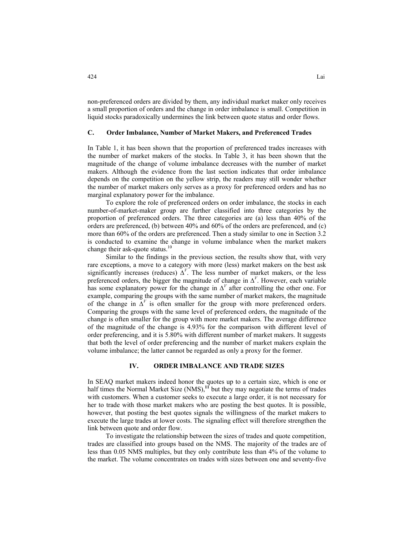non-preferenced orders are divided by them, any individual market maker only receives a small proportion of orders and the change in order imbalance is small. Competition in liquid stocks paradoxically undermines the link between quote status and order flows.

## **C. Order Imbalance, Number of Market Makers, and Preferenced Trades**

In Table 1, it has been shown that the proportion of preferenced trades increases with the number of market makers of the stocks. In Table 3, it has been shown that the magnitude of the change of volume imbalance decreases with the number of market makers. Although the evidence from the last section indicates that order imbalance depends on the competition on the yellow strip, the readers may still wonder whether the number of market makers only serves as a proxy for preferenced orders and has no marginal explanatory power for the imbalance.

To explore the role of preferenced orders on order imbalance, the stocks in each number-of-market-maker group are further classified into three categories by the proportion of preferenced orders. The three categories are (a) less than 40% of the orders are preferenced, (b) between 40% and 60% of the orders are preferenced, and (c) more than 60% of the orders are preferenced. Then a study similar to one in Section 3.2 is conducted to examine the change in volume imbalance when the market makers change their ask-quote status.<sup>10</sup>

Similar to the findings in the previous section, the results show that, with very rare exceptions, a move to a category with more (less) market makers on the best ask significantly increases (reduces)  $\Delta^V$ . The less number of market makers, or the less preferenced orders, the bigger the magnitude of change in  $\Delta^V$ . However, each variable has some explanatory power for the change in  $\Delta^V$  after controlling the other one. For example, comparing the groups with the same number of market makers, the magnitude of the change in  $\Delta^V$  is often smaller for the group with more preferenced orders. Comparing the groups with the same level of preferenced orders, the magnitude of the change is often smaller for the group with more market makers. The average difference of the magnitude of the change is 4.93% for the comparison with different level of order preferencing, and it is 5.80% with different number of market makers. It suggests that both the level of order preferencing and the number of market makers explain the volume imbalance; the latter cannot be regarded as only a proxy for the former.

## **IV. ORDER IMBALANCE AND TRADE SIZES**

In SEAQ market makers indeed honor the quotes up to a certain size, which is one or half times the Normal Market Size (NMS),<sup>11</sup> but they may negotiate the terms of trades with customers. When a customer seeks to execute a large order, it is not necessary for her to trade with those market makers who are posting the best quotes. It is possible, however, that posting the best quotes signals the willingness of the market makers to execute the large trades at lower costs. The signaling effect will therefore strengthen the link between quote and order flow.

To investigate the relationship between the sizes of trades and quote competition, trades are classified into groups based on the NMS. The majority of the trades are of less than 0.05 NMS multiples, but they only contribute less than 4% of the volume to the market. The volume concentrates on trades with sizes between one and seventy-five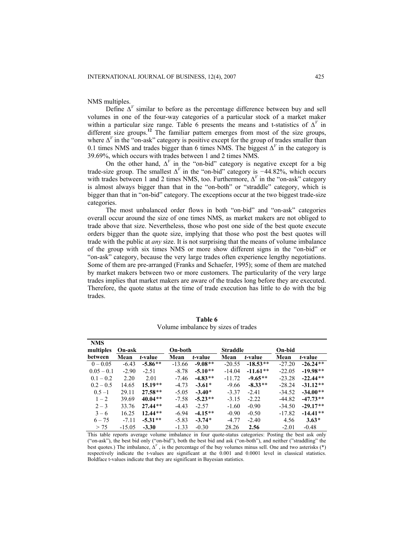NMS multiples.

Define  $\Delta^V$  similar to before as the percentage difference between buy and sell volumes in one of the four-way categories of a particular stock of a market maker within a particular size range. Table 6 presents the means and t-statistics of  $\Delta^V$  in different size groups.**<sup>12</sup>** The familiar pattern emerges from most of the size groups, where  $\Delta^V$  in the "on-ask" category is positive except for the group of trades smaller than 0.1 times NMS and trades bigger than 6 times NMS. The biggest  $\Delta^V$  in the category is 39.69%, which occurs with trades between 1 and 2 times NMS.

On the other hand,  $\Delta^V$  in the "on-bid" category is negative except for a big trade-size group. The smallest ∆*<sup>V</sup>* in the "on-bid" category is *−*44*.*82%, which occurs with trades between 1 and 2 times NMS, too. Furthermore,  $\Delta^V$  in the "on-ask" category is almost always bigger than that in the "on-both" or "straddle" category, which is bigger than that in "on-bid" category. The exceptions occur at the two biggest trade-size categories.

The most unbalanced order flows in both "on-bid" and "on-ask" categories overall occur around the size of one times NMS, as market makers are not obliged to trade above that size. Nevertheless, those who post one side of the best quote execute orders bigger than the quote size, implying that those who post the best quotes will trade with the public at *any* size. It is not surprising that the means of volume imbalance of the group with six times NMS or more show different signs in the "on-bid" or "on-ask" category, because the very large trades often experience lengthy negotiations. Some of them are pre-arranged (Franks and Schaefer, 1995); some of them are matched by market makers between two or more customers. The particularity of the very large trades implies that market makers are aware of the trades long before they are executed. Therefore, the quote status at the time of trade execution has little to do with the big trades.

| <b>NMS</b><br>multiples | On-ask   |           | On-both  |           | <b>Straddle</b> |            | On-bid   |            |
|-------------------------|----------|-----------|----------|-----------|-----------------|------------|----------|------------|
| between                 | Mean     | t-value   | Mean     | t-value   | Mean            | t-value    | Mean     | t-value    |
| $0 - 0.05$              | $-6.43$  | $-5.86**$ | $-13.66$ | $-9.08**$ | $-20.55$        | $-18.53**$ | $-27.20$ | $-26.24**$ |
| $0.05 - 0.1$            | $-2.90$  | $-2.51$   | $-8.78$  | $-5.10**$ | $-14.04$        | $-11.61**$ | $-22.05$ | $-19.98**$ |
| $0.1 - 0.2$             | 2.20     | 2.01      | $-7.46$  | $-4.83**$ | $-11.72$        | $-9.65**$  | $-23.28$ | $-22.44**$ |
| $0.2 - 0.5$             | 14.65    | $15.19**$ | $-4.73$  | $-3.61*$  | $-9.66$         | $-8.33**$  | $-28.24$ | $-31.12**$ |
| $0.5 - 1$               | 29.11    | $27.58**$ | $-5.05$  | $-3.40*$  | $-3.37$         | $-2.41$    | $-34.52$ | $-34.00**$ |
| $1 - 2$                 | 39.69    | $40.04**$ | $-7.58$  | $-5.23**$ | $-3.15$         | $-2.22$    | $-44.82$ | $-47.73**$ |
| $2 - 3$                 | 33.76    | $27.44**$ | $-4.43$  | $-2.57$   | $-1.60$         | $-0.90$    | $-34.50$ | $-29.17**$ |
| $3 - 6$                 | 16.25    | $12.44**$ | $-6.94$  | $-4.15**$ | $-0.90$         | $-0.50$    | $-17.82$ | $-14.41**$ |
| $6 - 75$                | $-7.11$  | $-5.31**$ | $-5.83$  | $-3.74*$  | $-4.77$         | $-2.40$    | 4.56     | $3.63*$    |
| > 75                    | $-15.05$ | $-3.30$   | $-1.33$  | $-0.30$   | 28.26           | 2.56       | $-2.01$  | $-0.48$    |

**Table 6**  Volume imbalance by sizes of trades

This table reports average volume imbalance in four quote-status categories: Posting the best ask only ("on-ask"), the best bid only ("on-bid"), both the best bid and ask ("on-both"), and neither ("straddling" the best quotes.) The imbalance, ∆*<sup>V</sup>* , is the percentage of the buy volumes minus sell. One and two asterisks (\*) respectively indicate the t-values are significant at the 0.001 and 0.0001 level in classical statistics. Boldface t-values indicate that they are significant in Bayesian statistics.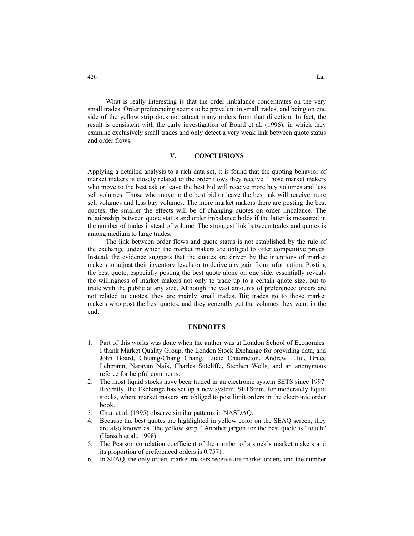What is really interesting is that the order imbalance concentrates on the very small trades. Order preferencing seems to be prevalent in small trades, and being on one side of the yellow strip does not attract many orders from that direction. In fact, the result is consistent with the early investigation of Board et al. (1996), in which they examine exclusively small trades and only detect a very weak link between quote status and order flows.

# **V. CONCLUSIONS**

Applying a detailed analysis to a rich data set, it is found that the quoting behavior of market makers is closely related to the order flows they receive. Those market makers who move to the best ask or leave the best bid will receive more buy volumes and less sell volumes. Those who move to the best bid or leave the best ask will receive more sell volumes and less buy volumes. The more market makers there are posting the best quotes, the smaller the effects will be of changing quotes on order imbalance. The relationship between quote status and order imbalance holds if the latter is measured in the number of trades instead of volume. The strongest link between trades and quotes is among medium to large trades.

The link between order flows and quote status is not established by the rule of the exchange under which the market makers are obliged to offer competitive prices. Instead, the evidence suggests that the quotes are driven by the intentions of market makers to adjust their inventory levels or to derive any gain from information. Posting the best quote, especially posting the best quote alone on one side, essentially reveals the willingness of market makers not only to trade up to a certain quote size, but to trade with the public at any size. Although the vast amounts of preferenced orders are not related to quotes, they are mainly small trades. Big trades go to those market makers who post the best quotes, and they generally get the volumes they want in the end.

## **ENDNOTES**

- 1. Part of this works was done when the author was at London School of Economics. I thank Market Quality Group, the London Stock Exchange for providing data, and John Board, Chuang-Chang Chang, Lucie Chaumeton, Andrew Ellul, Bruce Lehmann, Narayan Naik, Charles Sutcliffe, Stephen Wells, and an anonymous referee for helpful comments.
- 2. The most liquid stocks have been traded in an electronic system SETS since 1997. Recently, the Exchange has set up a new system, SETSmm, for moderately liquid stocks, where market makers are obliged to post limit orders in the electronic order book.
- 3. Chan et al. (1995) observe similar patterns in NASDAQ.
- 4. Because the best quotes are highlighted in yellow color on the SEAQ screen, they are also known as "the yellow strip." Another jargon for the best quote is "touch" (Hansch et al., 1998).
- 5. The Pearson correlation coefficient of the number of a stock's market makers and its proportion of preferenced orders is 0.7571.
- 6. In SEAQ, the only orders market makers receive are market orders, and the number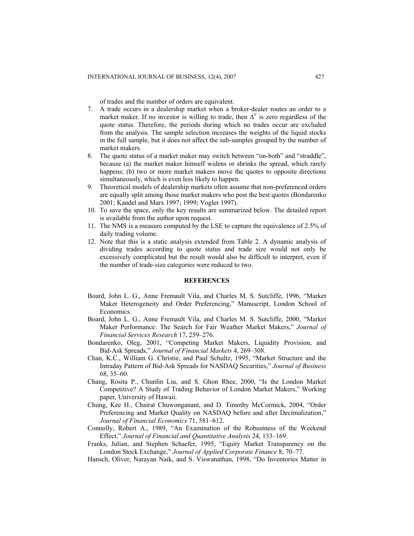of trades and the number of orders are equivalent.

- 7. A trade occurs in a dealership market when a broker-dealer routes an order to a market maker. If no investor is willing to trade, then  $\Delta^V$  is zero regardless of the quote status. Therefore, the periods during which no trades occur are excluded from the analysis. The sample selection increases the weights of the liquid stocks in the full sample, but it does not affect the sub-samples grouped by the number of market makers.
- 8. The quote status of a market maker may switch between "on-both" and "straddle", because (a) the market maker himself widens or shrinks the spread, which rarely happens; (b) two or more market makers move the quotes to opposite directions simultaneously, which is even less likely to happen.
- 9. Theoretical models of dealership markets often assume that non-preferenced orders are equally split among those market makers who post the best quotes (Bondarenko 2001; Kandel and Marx 1997; 1999; Vogler 1997).
- 10. To save the space, only the key results are summarized below. The detailed report is available from the author upon request.
- 11. The NMS is a measure computed by the LSE to capture the equivalence of 2.5% of daily trading volume.
- 12. Note that this is a static analysis extended from Table 2. A dynamic analysis of dividing trades according to quote status and trade size would not only be excessively complicated but the result would also be difficult to interpret, even if the number of trade-size categories were reduced to two.

#### **REFERENCES**

- Board, John L. G., Anne Fremault Vila, and Charles M. S. Sutcliffe, 1996, "Market Maker Heterogeneity and Order Preferencing," Manuscript, London School of Economics.
- Board, John L. G., Anne Fremault Vila, and Charles M. S. Sutcliffe, 2000, "Market Maker Performance: The Search for Fair Weather Market Makers," *Journal of Financial Services Research* 17, 259–276.
- Bondarenko, Oleg, 2001, "Competing Market Makers, Liquidity Provision, and Bid-Ask Spreads," *Journal of Financial Markets* 4, 269–308.
- Chan, K.C., William G. Christie, and Paul Schultz, 1995, "Market Structure and the Intraday Pattern of Bid-Ask Spreads for NASDAQ Securities," *Journal of Business*  68, 35–60.
- Chang, Rosita P., Chunlin Liu, and S. Ghon Rhee, 2000, "Is the London Market Competitive? A Study of Trading Behavior of London Market Makers," Working paper, University of Hawaii.
- Chung, Kee H., Chairat Chuwonganant, and D. Timothy McCormick, 2004, "Order Preferencing and Market Quality on NASDAQ before and after Decimalization," *Journal of Financial Economics* 71, 581–612.
- Connolly, Robert A., 1989, "An Examination of the Robustness of the Weekend Effect," *Journal of Financial and Quantitative Analysis* 24, 133–169.
- Franks, Julian, and Stephen Schaefer, 1995, "Equity Market Transparency on the London Stock Exchange," *Journal of Applied Corporate Finance* 8, 70–77.
- Hansch, Oliver, Narayan Naik, and S. Viswanathan, 1998, "Do Inventories Matter in